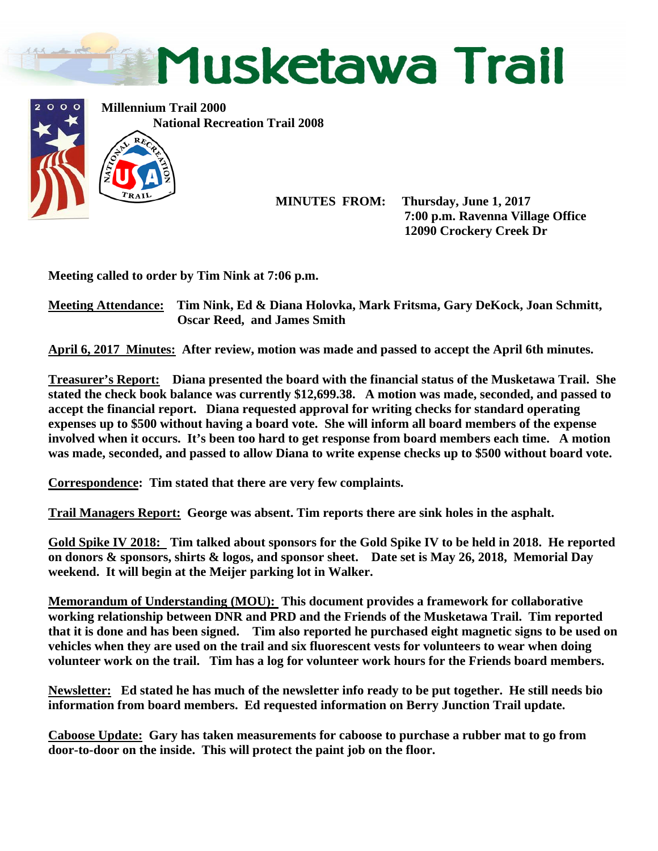



 **MINUTES FROM: Thursday, June 1, 2017 7:00 p.m. Ravenna Village Office 12090 Crockery Creek Dr** 

**Meeting called to order by Tim Nink at 7:06 p.m.** 

**Meeting Attendance: Tim Nink, Ed & Diana Holovka, Mark Fritsma, Gary DeKock, Joan Schmitt, Oscar Reed, and James Smith** 

**April 6, 2017 Minutes: After review, motion was made and passed to accept the April 6th minutes.** 

**Treasurer's Report: Diana presented the board with the financial status of the Musketawa Trail. She stated the check book balance was currently \$12,699.38. A motion was made, seconded, and passed to accept the financial report. Diana requested approval for writing checks for standard operating expenses up to \$500 without having a board vote. She will inform all board members of the expense involved when it occurs. It's been too hard to get response from board members each time. A motion was made, seconded, and passed to allow Diana to write expense checks up to \$500 without board vote.** 

**Correspondence: Tim stated that there are very few complaints.** 

**Trail Managers Report: George was absent. Tim reports there are sink holes in the asphalt.** 

**Gold Spike IV 2018: Tim talked about sponsors for the Gold Spike IV to be held in 2018. He reported on donors & sponsors, shirts & logos, and sponsor sheet. Date set is May 26, 2018, Memorial Day weekend. It will begin at the Meijer parking lot in Walker.** 

**Memorandum of Understanding (MOU): This document provides a framework for collaborative working relationship between DNR and PRD and the Friends of the Musketawa Trail. Tim reported that it is done and has been signed. Tim also reported he purchased eight magnetic signs to be used on vehicles when they are used on the trail and six fluorescent vests for volunteers to wear when doing volunteer work on the trail. Tim has a log for volunteer work hours for the Friends board members.** 

**Newsletter: Ed stated he has much of the newsletter info ready to be put together. He still needs bio information from board members. Ed requested information on Berry Junction Trail update.** 

**Caboose Update: Gary has taken measurements for caboose to purchase a rubber mat to go from door-to-door on the inside. This will protect the paint job on the floor.**